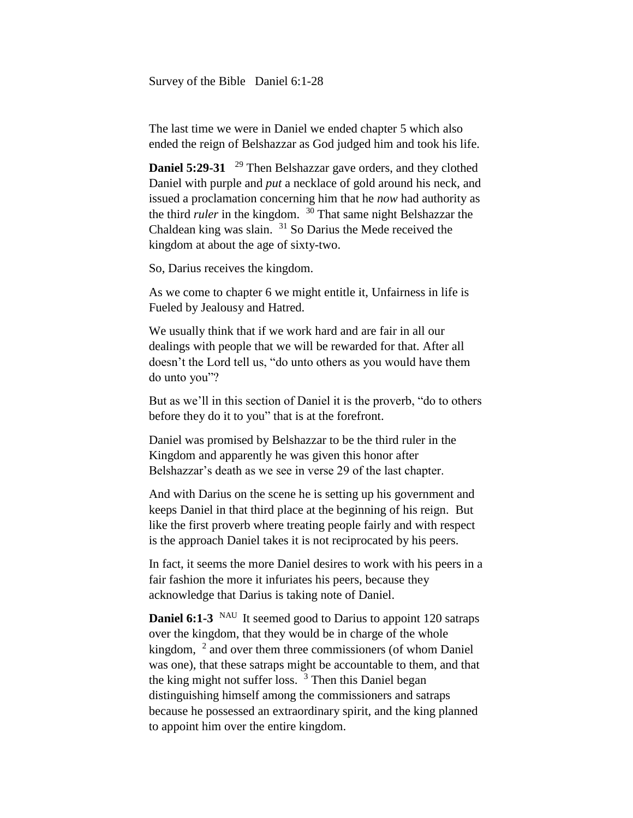Survey of the Bible Daniel 6:1-28

The last time we were in Daniel we ended chapter 5 which also ended the reign of Belshazzar as God judged him and took his life.

Daniel 5:29-31 <sup>29</sup> Then Belshazzar gave orders, and they clothed Daniel with purple and *put* a necklace of gold around his neck, and issued a proclamation concerning him that he *now* had authority as the third *ruler* in the kingdom. <sup>30</sup> That same night Belshazzar the Chaldean king was slain. <sup>31</sup> So Darius the Mede received the kingdom at about the age of sixty-two.

So, Darius receives the kingdom.

As we come to chapter 6 we might entitle it, Unfairness in life is Fueled by Jealousy and Hatred.

We usually think that if we work hard and are fair in all our dealings with people that we will be rewarded for that. After all doesn't the Lord tell us, "do unto others as you would have them do unto you"?

But as we'll in this section of Daniel it is the proverb, "do to others before they do it to you" that is at the forefront.

Daniel was promised by Belshazzar to be the third ruler in the Kingdom and apparently he was given this honor after Belshazzar's death as we see in verse 29 of the last chapter.

And with Darius on the scene he is setting up his government and keeps Daniel in that third place at the beginning of his reign. But like the first proverb where treating people fairly and with respect is the approach Daniel takes it is not reciprocated by his peers.

In fact, it seems the more Daniel desires to work with his peers in a fair fashion the more it infuriates his peers, because they acknowledge that Darius is taking note of Daniel.

**Daniel 6:1-3** <sup>NAU</sup> It seemed good to Darius to appoint 120 satraps over the kingdom, that they would be in charge of the whole kingdom,  $2$  and over them three commissioners (of whom Daniel was one), that these satraps might be accountable to them, and that the king might not suffer loss.  $3$  Then this Daniel began distinguishing himself among the commissioners and satraps because he possessed an extraordinary spirit, and the king planned to appoint him over the entire kingdom.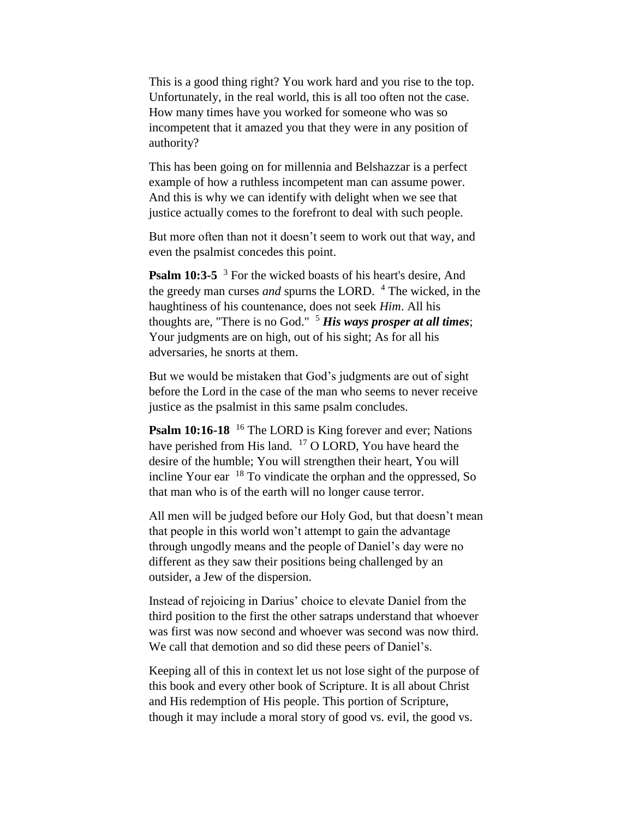This is a good thing right? You work hard and you rise to the top. Unfortunately, in the real world, this is all too often not the case. How many times have you worked for someone who was so incompetent that it amazed you that they were in any position of authority?

This has been going on for millennia and Belshazzar is a perfect example of how a ruthless incompetent man can assume power. And this is why we can identify with delight when we see that justice actually comes to the forefront to deal with such people.

But more often than not it doesn't seem to work out that way, and even the psalmist concedes this point.

**Psalm 10:3-5** <sup>3</sup> For the wicked boasts of his heart's desire, And the greedy man curses *and* spurns the LORD. <sup>4</sup> The wicked, in the haughtiness of his countenance, does not seek *Him*. All his thoughts are, "There is no God."  $5$  *His ways prosper at all times*; Your judgments are on high, out of his sight; As for all his adversaries, he snorts at them.

But we would be mistaken that God's judgments are out of sight before the Lord in the case of the man who seems to never receive justice as the psalmist in this same psalm concludes.

**Psalm 10:16-18** <sup>16</sup> The LORD is King forever and ever; Nations have perished from His land. <sup>17</sup> O LORD, You have heard the desire of the humble; You will strengthen their heart, You will incline Your ear  $18$  To vindicate the orphan and the oppressed, So that man who is of the earth will no longer cause terror.

All men will be judged before our Holy God, but that doesn't mean that people in this world won't attempt to gain the advantage through ungodly means and the people of Daniel's day were no different as they saw their positions being challenged by an outsider, a Jew of the dispersion.

Instead of rejoicing in Darius' choice to elevate Daniel from the third position to the first the other satraps understand that whoever was first was now second and whoever was second was now third. We call that demotion and so did these peers of Daniel's.

Keeping all of this in context let us not lose sight of the purpose of this book and every other book of Scripture. It is all about Christ and His redemption of His people. This portion of Scripture, though it may include a moral story of good vs. evil, the good vs.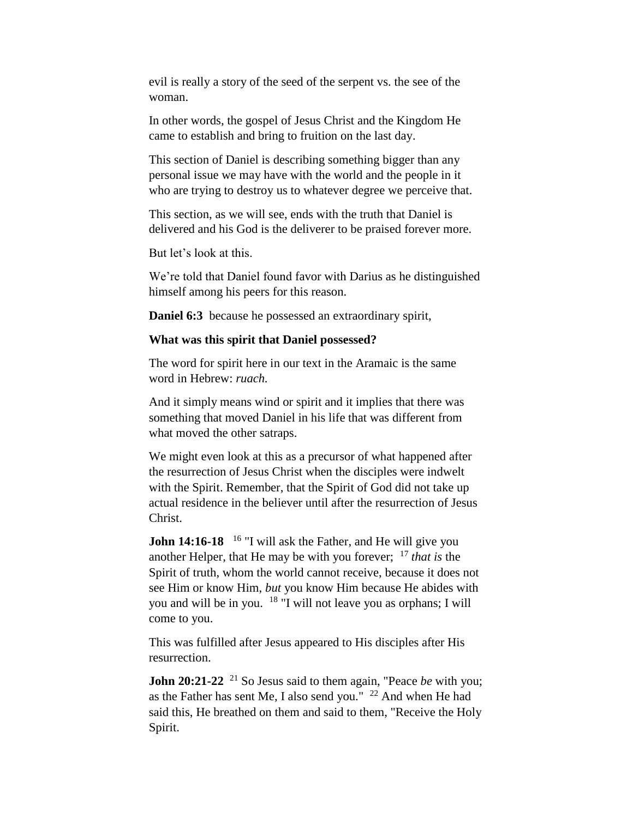evil is really a story of the seed of the serpent vs. the see of the woman.

In other words, the gospel of Jesus Christ and the Kingdom He came to establish and bring to fruition on the last day.

This section of Daniel is describing something bigger than any personal issue we may have with the world and the people in it who are trying to destroy us to whatever degree we perceive that.

This section, as we will see, ends with the truth that Daniel is delivered and his God is the deliverer to be praised forever more.

But let's look at this.

We're told that Daniel found favor with Darius as he distinguished himself among his peers for this reason.

**Daniel 6:3** because he possessed an extraordinary spirit,

## **What was this spirit that Daniel possessed?**

The word for spirit here in our text in the Aramaic is the same word in Hebrew: *ruach.*

And it simply means wind or spirit and it implies that there was something that moved Daniel in his life that was different from what moved the other satraps.

We might even look at this as a precursor of what happened after the resurrection of Jesus Christ when the disciples were indwelt with the Spirit. Remember, that the Spirit of God did not take up actual residence in the believer until after the resurrection of Jesus Christ.

**John 14:16-18** <sup>16</sup> "I will ask the Father, and He will give you another Helper, that He may be with you forever; <sup>17</sup> *that is* the Spirit of truth, whom the world cannot receive, because it does not see Him or know Him, *but* you know Him because He abides with you and will be in you. <sup>18</sup> "I will not leave you as orphans; I will come to you.

This was fulfilled after Jesus appeared to His disciples after His resurrection.

**John 20:21-22** <sup>21</sup> So Jesus said to them again, "Peace *be* with you; as the Father has sent Me, I also send you."  $^{22}$  And when He had said this, He breathed on them and said to them, "Receive the Holy Spirit.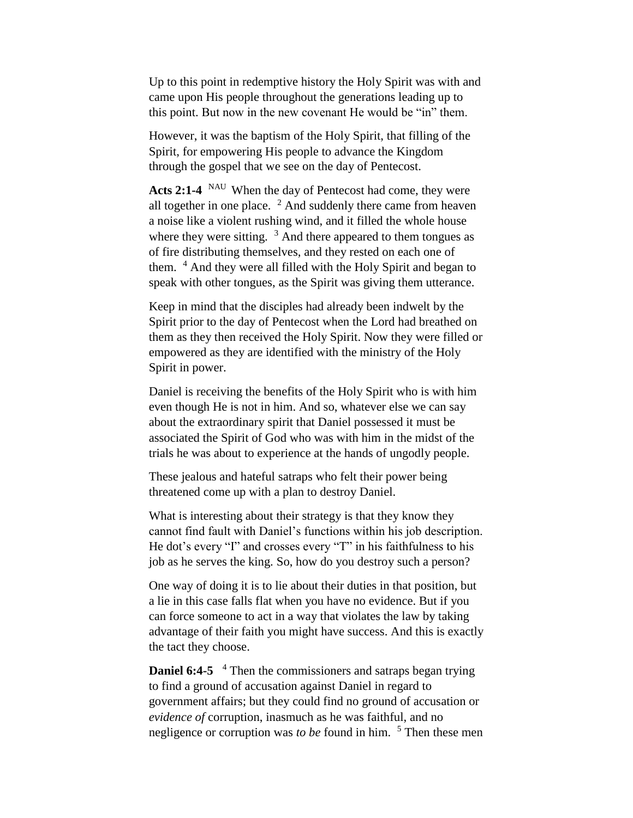Up to this point in redemptive history the Holy Spirit was with and came upon His people throughout the generations leading up to this point. But now in the new covenant He would be "in" them.

However, it was the baptism of the Holy Spirit, that filling of the Spirit, for empowering His people to advance the Kingdom through the gospel that we see on the day of Pentecost.

Acts 2:1-4 <sup>NAU</sup> When the day of Pentecost had come, they were all together in one place.  $2$  And suddenly there came from heaven a noise like a violent rushing wind, and it filled the whole house where they were sitting.  $3$  And there appeared to them tongues as of fire distributing themselves, and they rested on each one of them. <sup>4</sup> And they were all filled with the Holy Spirit and began to speak with other tongues, as the Spirit was giving them utterance.

Keep in mind that the disciples had already been indwelt by the Spirit prior to the day of Pentecost when the Lord had breathed on them as they then received the Holy Spirit. Now they were filled or empowered as they are identified with the ministry of the Holy Spirit in power.

Daniel is receiving the benefits of the Holy Spirit who is with him even though He is not in him. And so, whatever else we can say about the extraordinary spirit that Daniel possessed it must be associated the Spirit of God who was with him in the midst of the trials he was about to experience at the hands of ungodly people.

These jealous and hateful satraps who felt their power being threatened come up with a plan to destroy Daniel.

What is interesting about their strategy is that they know they cannot find fault with Daniel's functions within his job description. He dot's every "I" and crosses every "T" in his faithfulness to his job as he serves the king. So, how do you destroy such a person?

One way of doing it is to lie about their duties in that position, but a lie in this case falls flat when you have no evidence. But if you can force someone to act in a way that violates the law by taking advantage of their faith you might have success. And this is exactly the tact they choose.

**Daniel 6:4-5** <sup>4</sup> Then the commissioners and satraps began trying to find a ground of accusation against Daniel in regard to government affairs; but they could find no ground of accusation or *evidence of* corruption, inasmuch as he was faithful, and no negligence or corruption was *to be* found in him. <sup>5</sup> Then these men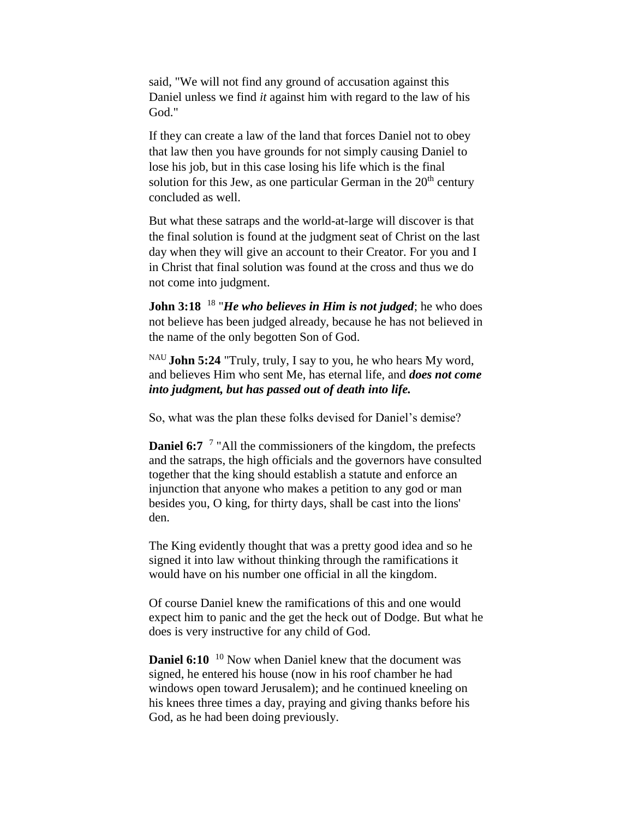said, "We will not find any ground of accusation against this Daniel unless we find *it* against him with regard to the law of his God."

If they can create a law of the land that forces Daniel not to obey that law then you have grounds for not simply causing Daniel to lose his job, but in this case losing his life which is the final solution for this Jew, as one particular German in the  $20<sup>th</sup>$  century concluded as well.

But what these satraps and the world-at-large will discover is that the final solution is found at the judgment seat of Christ on the last day when they will give an account to their Creator. For you and I in Christ that final solution was found at the cross and thus we do not come into judgment.

John 3:18<sup>18</sup> "*He who believes in Him is not judged*; he who does not believe has been judged already, because he has not believed in the name of the only begotten Son of God.

NAU **John 5:24** "Truly, truly, I say to you, he who hears My word, and believes Him who sent Me, has eternal life, and *does not come into judgment, but has passed out of death into life.*

So, what was the plan these folks devised for Daniel's demise?

**Daniel 6:7** <sup>7</sup> "All the commissioners of the kingdom, the prefects and the satraps, the high officials and the governors have consulted together that the king should establish a statute and enforce an injunction that anyone who makes a petition to any god or man besides you, O king, for thirty days, shall be cast into the lions' den.

The King evidently thought that was a pretty good idea and so he signed it into law without thinking through the ramifications it would have on his number one official in all the kingdom.

Of course Daniel knew the ramifications of this and one would expect him to panic and the get the heck out of Dodge. But what he does is very instructive for any child of God.

**Daniel 6:10** <sup>10</sup> Now when Daniel knew that the document was signed, he entered his house (now in his roof chamber he had windows open toward Jerusalem); and he continued kneeling on his knees three times a day, praying and giving thanks before his God, as he had been doing previously.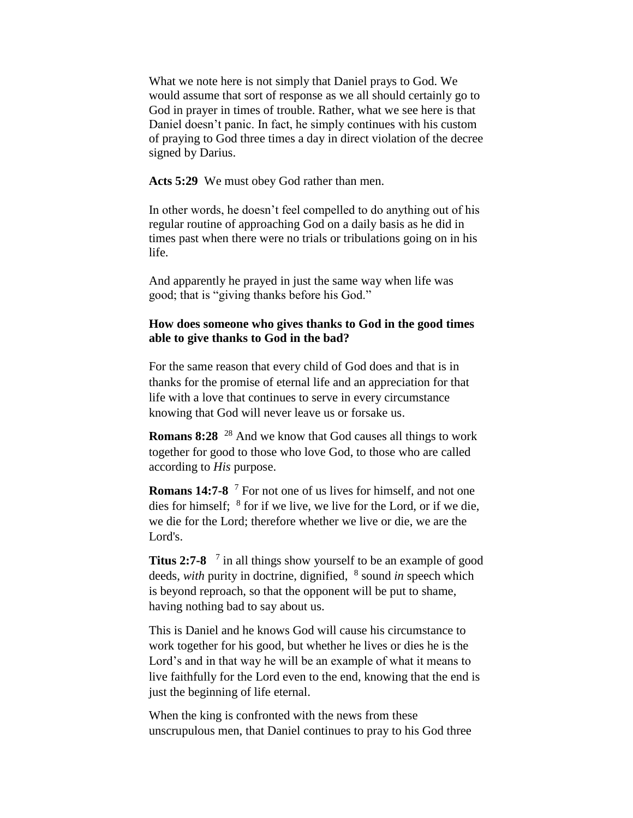What we note here is not simply that Daniel prays to God. We would assume that sort of response as we all should certainly go to God in prayer in times of trouble. Rather, what we see here is that Daniel doesn't panic. In fact, he simply continues with his custom of praying to God three times a day in direct violation of the decree signed by Darius.

**Acts 5:29** We must obey God rather than men.

In other words, he doesn't feel compelled to do anything out of his regular routine of approaching God on a daily basis as he did in times past when there were no trials or tribulations going on in his life.

And apparently he prayed in just the same way when life was good; that is "giving thanks before his God."

## **How does someone who gives thanks to God in the good times able to give thanks to God in the bad?**

For the same reason that every child of God does and that is in thanks for the promise of eternal life and an appreciation for that life with a love that continues to serve in every circumstance knowing that God will never leave us or forsake us.

**Romans 8:28** <sup>28</sup> And we know that God causes all things to work together for good to those who love God, to those who are called according to *His* purpose.

**Romans 14:7-8** <sup>7</sup> For not one of us lives for himself, and not one dies for himself;  $8$  for if we live, we live for the Lord, or if we die, we die for the Lord; therefore whether we live or die, we are the Lord's.

**Titus 2:7-8** <sup>7</sup> in all things show yourself to be an example of good deeds, *with* purity in doctrine, dignified, <sup>8</sup> sound *in* speech which is beyond reproach, so that the opponent will be put to shame, having nothing bad to say about us.

This is Daniel and he knows God will cause his circumstance to work together for his good, but whether he lives or dies he is the Lord's and in that way he will be an example of what it means to live faithfully for the Lord even to the end, knowing that the end is just the beginning of life eternal.

When the king is confronted with the news from these unscrupulous men, that Daniel continues to pray to his God three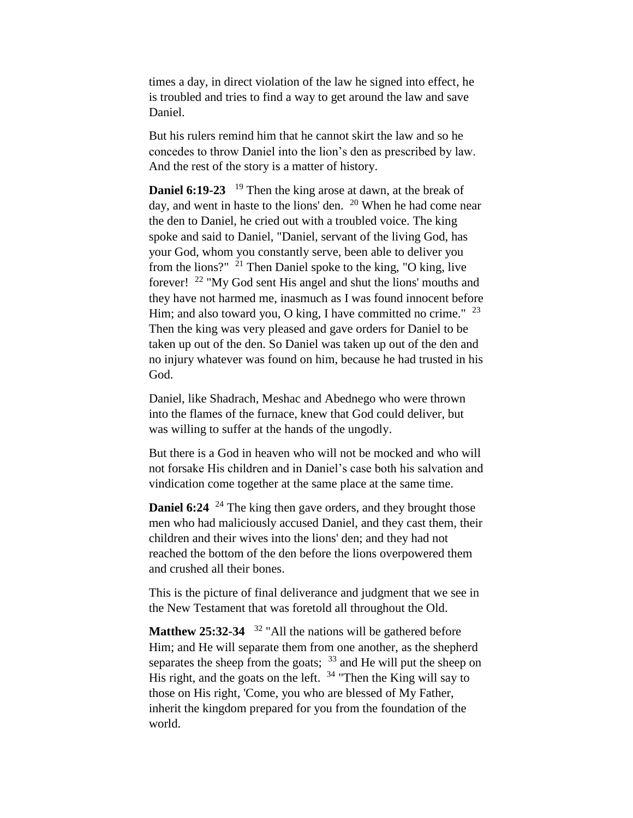times a day, in direct violation of the law he signed into effect, he is troubled and tries to find a way to get around the law and save Daniel.

But his rulers remind him that he cannot skirt the law and so he concedes to throw Daniel into the lion's den as prescribed by law. And the rest of the story is a matter of history.

**Daniel 6:19-23** <sup>19</sup> Then the king arose at dawn, at the break of day, and went in haste to the lions' den. <sup>20</sup> When he had come near the den to Daniel, he cried out with a troubled voice. The king spoke and said to Daniel, "Daniel, servant of the living God, has your God, whom you constantly serve, been able to deliver you from the lions?"  $21$  Then Daniel spoke to the king, "O king, live forever! <sup>22</sup> "My God sent His angel and shut the lions' mouths and they have not harmed me, inasmuch as I was found innocent before Him; and also toward you, O king, I have committed no crime."  $^{23}$ Then the king was very pleased and gave orders for Daniel to be taken up out of the den. So Daniel was taken up out of the den and no injury whatever was found on him, because he had trusted in his God.

Daniel, like Shadrach, Meshac and Abednego who were thrown into the flames of the furnace, knew that God could deliver, but was willing to suffer at the hands of the ungodly.

But there is a God in heaven who will not be mocked and who will not forsake His children and in Daniel's case both his salvation and vindication come together at the same place at the same time.

**Daniel 6:24** <sup>24</sup> The king then gave orders, and they brought those men who had maliciously accused Daniel, and they cast them, their children and their wives into the lions' den; and they had not reached the bottom of the den before the lions overpowered them and crushed all their bones.

This is the picture of final deliverance and judgment that we see in the New Testament that was foretold all throughout the Old.

**Matthew 25:32-34** <sup>32</sup> "All the nations will be gathered before Him; and He will separate them from one another, as the shepherd separates the sheep from the goats;  $33$  and He will put the sheep on His right, and the goats on the left.  $34$  "Then the King will say to those on His right, 'Come, you who are blessed of My Father, inherit the kingdom prepared for you from the foundation of the world.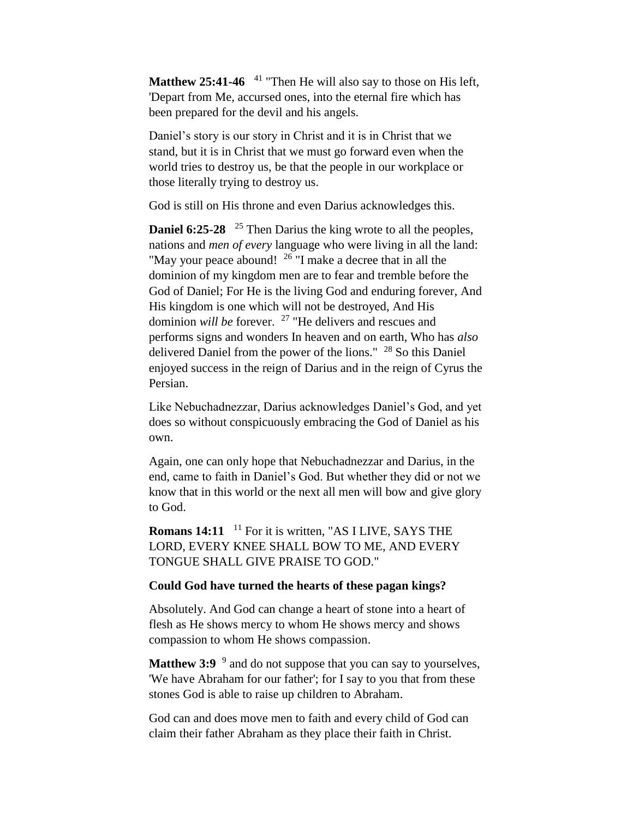Matthew 25:41-46 <sup>41</sup> "Then He will also say to those on His left, 'Depart from Me, accursed ones, into the eternal fire which has been prepared for the devil and his angels.

Daniel's story is our story in Christ and it is in Christ that we stand, but it is in Christ that we must go forward even when the world tries to destroy us, be that the people in our workplace or those literally trying to destroy us.

God is still on His throne and even Darius acknowledges this.

**Daniel 6:25-28** <sup>25</sup> Then Darius the king wrote to all the peoples, nations and *men of every* language who were living in all the land: "May your peace abound! <sup>26</sup> "I make a decree that in all the dominion of my kingdom men are to fear and tremble before the God of Daniel; For He is the living God and enduring forever, And His kingdom is one which will not be destroyed, And His dominion *will be* forever. <sup>27</sup> "He delivers and rescues and performs signs and wonders In heaven and on earth, Who has *also*  delivered Daniel from the power of the lions." <sup>28</sup> So this Daniel enjoyed success in the reign of Darius and in the reign of Cyrus the Persian.

Like Nebuchadnezzar, Darius acknowledges Daniel's God, and yet does so without conspicuously embracing the God of Daniel as his own.

Again, one can only hope that Nebuchadnezzar and Darius, in the end, came to faith in Daniel's God. But whether they did or not we know that in this world or the next all men will bow and give glory to God.

**Romans 14:11** <sup>11</sup> For it is written, "AS I LIVE, SAYS THE LORD, EVERY KNEE SHALL BOW TO ME, AND EVERY TONGUE SHALL GIVE PRAISE TO GOD."

## **Could God have turned the hearts of these pagan kings?**

Absolutely. And God can change a heart of stone into a heart of flesh as He shows mercy to whom He shows mercy and shows compassion to whom He shows compassion.

**Matthew 3:9** <sup>9</sup> and do not suppose that you can say to yourselves, 'We have Abraham for our father'; for I say to you that from these stones God is able to raise up children to Abraham.

God can and does move men to faith and every child of God can claim their father Abraham as they place their faith in Christ.